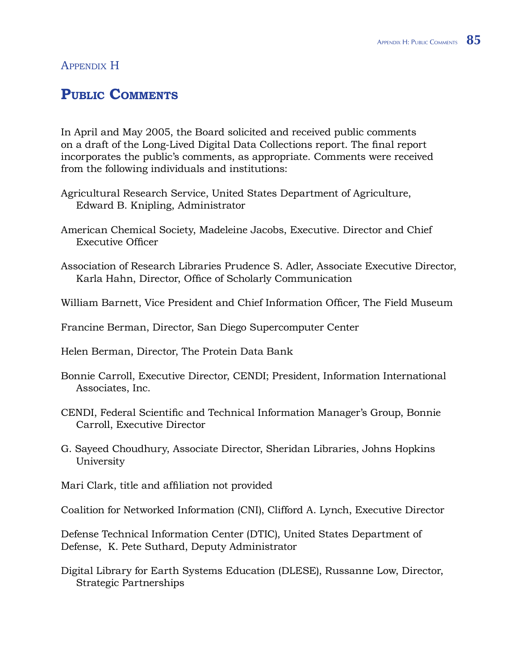## APPENDIX H

## PUBLIC **COMMENTS**

In April and May 2005, the Board solicited and received public comments on a draft of the Long-Lived Digital Data Collections report. The final report incorporates the public's comments, as appropriate. Comments were received from the following individuals and institutions:

- Agricultural Research Service, United States Department of Agriculture, Edward B. Knipling, Administrator
- American Chemical Society, Madeleine Jacobs, Executive. Director and Chief Executive Officer
- Association of Research Libraries Prudence S. Adler, Associate Executive Director, Karla Hahn, Director, Office of Scholarly Communication
- William Barnett, Vice President and Chief Information Officer, The Field Museum
- Francine Berman, Director, San Diego Supercomputer Center
- Helen Berman, Director, The Protein Data Bank
- Bonnie Carroll, Executive Director, CENDI; President, Information International Associates, Inc.
- CENDI, Federal Scientific and Technical Information Manager's Group, Bonnie Carroll, Executive Director
- G. Sayeed Choudhury, Associate Director, Sheridan Libraries, Johns Hopkins University
- Mari Clark, title and affiliation not provided
- Coalition for Networked Information (CNI), Clifford A. Lynch, Executive Director

Defense Technical Information Center (DTIC), United States Department of Defense, K. Pete Suthard, Deputy Administrator

Digital Library for Earth Systems Education (DLESE), Russanne Low, Director, Strategic Partnerships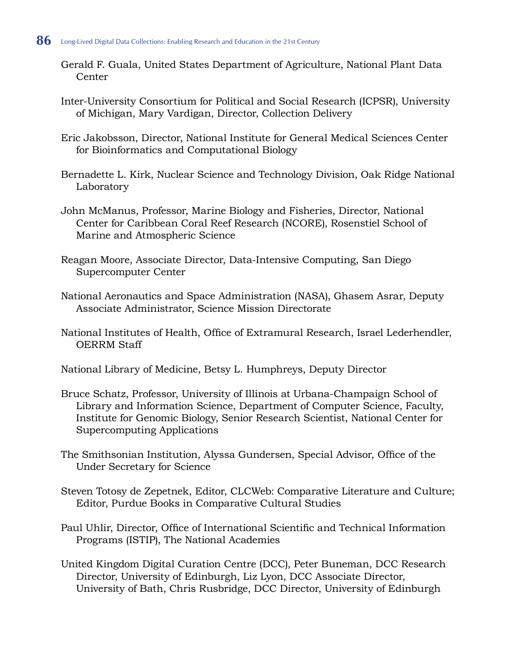- Gerald F. Guala, United States Department of Agriculture, National Plant Data Center
- Inter-University Consortium for Political and Social Research (ICPSR), University of Michigan, Mary Vardigan, Director, Collection Delivery
- Eric Jakobsson, Director, National Institute for General Medical Sciences Center for Bioinformatics and Computational Biology
- Bernadette L. Kirk, Nuclear Science and Technology Division, Oak Ridge National Laboratory
- John McManus, Professor, Marine Biology and Fisheries, Director, National Center for Caribbean Coral Reef Research (NCORE), Rosenstiel School of Marine and Atmospheric Science
- Reagan Moore, Associate Director, Data-Intensive Computing, San Diego Supercomputer Center
- National Aeronautics and Space Administration (NASA), Ghasem Asrar, Deputy Associate Administrator, Science Mission Directorate
- National Institutes of Health, Office of Extramural Research, Israel Lederhendler, OERRM Staff
- National Library of Medicine, Betsy L. Humphreys, Deputy Director
- Bruce Schatz, Professor, University of Illinois at Urbana-Champaign School of Library and Information Science, Department of Computer Science, Faculty, Institute for Genomic Biology, Senior Research Scientist, National Center for Supercomputing Applications
- The Smithsonian Institution, Alyssa Gundersen, Special Advisor, Office of the Under Secretary for Science
- Steven Totosy de Zepetnek, Editor, CLCWeb: Comparative Literature and Culture; Editor, Purdue Books in Comparative Cultural Studies
- Paul Uhlir, Director, Office of International Scientific and Technical Information Programs (ISTIP), The National Academies
- United Kingdom Digital Curation Centre (DCC), Peter Buneman, DCC Research Director, University of Edinburgh, Liz Lyon, DCC Associate Director, University of Bath, Chris Rusbridge, DCC Director, University of Edinburgh